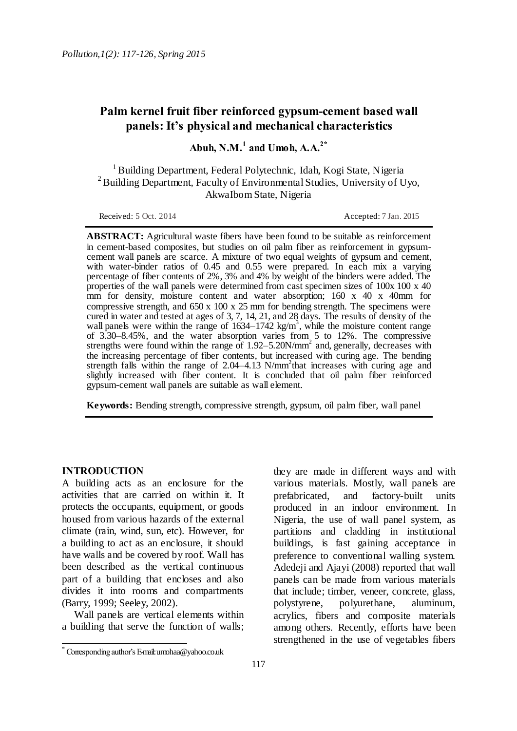# **Palm kernel fruit fiber reinforced gypsum-cement based wall panels: It's physical and mechanical characteristics**

**Abuh, N.M.<sup>1</sup> and Umoh, A.A.2\***

<sup>1</sup> Building Department, Federal Polytechnic, Idah, Kogi State, Nigeria <sup>2</sup> Building Department, Faculty of Environmental Studies, University of Uyo, AkwaIbom State, Nigeria

Received: 5 Oct. 2014 **Accepted: 7 Jan. 2015** 

**ABSTRACT:** Agricultural waste fibers have been found to be suitable as reinforcement in cement-based composites, but studies on oil palm fiber as reinforcement in gypsumcement wall panels are scarce. A mixture of two equal weights of gypsum and cement, with water-binder ratios of 0.45 and 0.55 were prepared. In each mix a varying percentage of fiber contents of 2%, 3% and 4% by weight of the binders were added. The properties of the wall panels were determined from cast specimen sizes of 100x 100 x 40 mm for density, moisture content and water absorption;  $160 \times 40 \times 40$  mm for compressive strength, and 650 x 100 x 25 mm for bending strength. The specimens were cured in water and tested at ages of 3, 7, 14, 21, and 28 days. The results of density of the wall panels were within the range of  $1634 - 1742$  kg/m<sup>3</sup>, while the moisture content range of 3.30–8.45%, and the water absorption varies from 5 to 12%. The compressive strengths were found within the range of  $1.92 - 5.20$ N/mm<sup>2</sup> and, generally, decreases with the increasing percentage of fiber contents, but increased with curing age. The bending strength falls within the range of  $2.04-4.13$  N/mm<sup>2</sup>that increases with curing age and slightly increased with fiber content. It is concluded that oil palm fiber reinforced gypsum-cement wall panels are suitable as wall element.

**Keywords:** Bending strength, compressive strength, gypsum, oil palm fiber, wall panel

## **INTRODUCTION**

 $\overline{a}$ 

A building acts as an enclosure for the activities that are carried on within it. It protects the occupants, equipment, or goods housed from various hazards of the external climate (rain, wind, sun, etc). However, for a building to act as an enclosure, it should have walls and be covered by roof. Wall has been described as the vertical continuous part of a building that encloses and also divides it into rooms and compartments (Barry, 1999; Seeley, 2002).

Wall panels are vertical elements within a building that serve the function of walls;

117

they are made in different ways and with various materials. Mostly, wall panels are prefabricated, and factory-built units produced in an indoor environment. In Nigeria, the use of wall panel system, as partitions and cladding in institutional buildings, is fast gaining acceptance in preference to conventional walling system. Adedeji and Ajayi (2008) reported that wall panels can be made from various materials that include; timber, veneer, concrete, glass, polystyrene, polyurethane, aluminum, acrylics, fibers and composite materials among others. Recently, efforts have been strengthened in the use of vegetables fibers

<sup>\*</sup> Corresponding author's E-mail: umohaa@yahoo.co.uk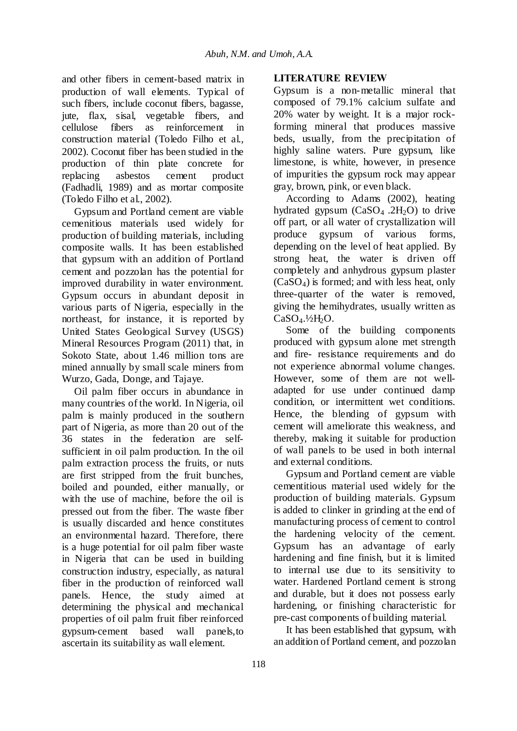and other fibers in cement-based matrix in production of wall elements. Typical of such fibers, include coconut fibers, bagasse, jute, flax, sisal, vegetable fibers, and cellulose fibers as reinforcement in construction material (Toledo Filho et al., 2002). Coconut fiber has been studied in the production of thin plate concrete for replacing asbestos cement product (Fadhadli, 1989) and as mortar composite (Toledo Filho et al., 2002).

Gypsum and Portland cement are viable cemenitious materials used widely for production of building materials, including composite walls. It has been established that gypsum with an addition of Portland cement and pozzolan has the potential for improved durability in water environment. Gypsum occurs in abundant deposit in various parts of Nigeria, especially in the northeast, for instance, it is reported by United States Geological Survey (USGS) Mineral Resources Program (2011) that, in Sokoto State, about 1.46 million tons are mined annually by small scale miners from Wurzo, Gada, Donge, and Tajaye.

Oil palm fiber occurs in abundance in many countries of the world. In Nigeria, oil palm is mainly produced in the southern part of Nigeria, as more than 20 out of the 36 states in the federation are selfsufficient in oil palm production. In the oil palm extraction process the fruits, or nuts are first stripped from the fruit bunches, boiled and pounded, either manually, or with the use of machine, before the oil is pressed out from the fiber. The waste fiber is usually discarded and hence constitutes an environmental hazard. Therefore, there is a huge potential for oil palm fiber waste in Nigeria that can be used in building construction industry, especially, as natural fiber in the production of reinforced wall panels. Hence, the study aimed at determining the physical and mechanical properties of oil palm fruit fiber reinforced gypsum-cement based wall panels,to ascertain its suitability as wall element.

### **LITERATURE REVIEW**

Gypsum is a non-metallic mineral that composed of 79.1% calcium sulfate and 20% water by weight. It is a major rockforming mineral that produces massive beds, usually, from the precipitation of highly saline waters. Pure gypsum, like limestone, is white, however, in presence of impurities the gypsum rock may appear gray, brown, pink, or even black.

According to Adams (2002), heating hydrated gypsum  $(CaSO<sub>4</sub> .2H<sub>2</sub>O)$  to drive off part, or all water of crystallization will produce gypsum of various forms, depending on the level of heat applied. By strong heat, the water is driven off completely and anhydrous gypsum plaster  $(CaSO<sub>4</sub>)$  is formed; and with less heat, only three-quarter of the water is removed, giving the hemihydrates, usually written as  $CaSO<sub>4</sub>$ .<sup>1</sup>/<sub>2</sub>H<sub>2</sub>O.

Some of the building components produced with gypsum alone met strength and fire- resistance requirements and do not experience abnormal volume changes. However, some of them are not welladapted for use under continued damp condition, or intermittent wet conditions. Hence, the blending of gypsum with cement will ameliorate this weakness, and thereby, making it suitable for production of wall panels to be used in both internal and external conditions.

Gypsum and Portland cement are viable cementitious material used widely for the production of building materials. Gypsum is added to clinker in grinding at the end of manufacturing process of cement to control the hardening velocity of the cement. Gypsum has an advantage of early hardening and fine finish, but it is limited to internal use due to its sensitivity to water. Hardened Portland cement is strong and durable, but it does not possess early hardening, or finishing characteristic for pre-cast components of building material.

It has been established that gypsum, with an addition of Portland cement, and pozzolan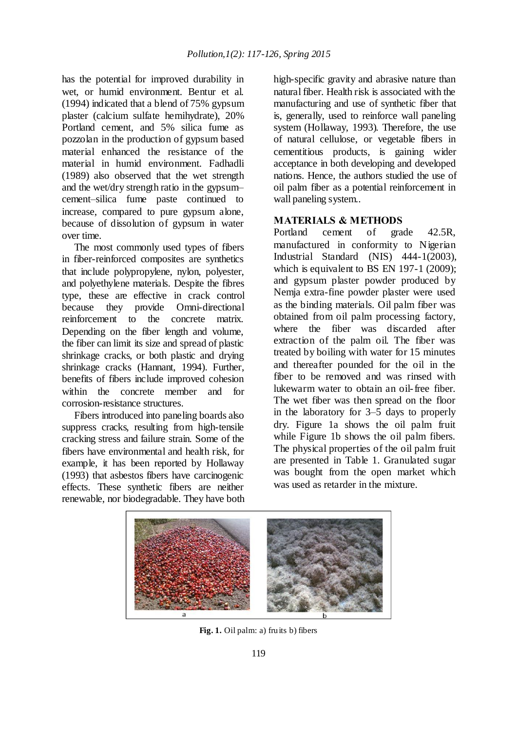has the potential for improved durability in wet, or humid environment. Bentur et al. (1994) indicated that a blend of 75% gypsum plaster (calcium sulfate hemihydrate), 20% Portland cement, and 5% silica fume as pozzolan in the production of gypsum based material enhanced the resistance of the material in humid environment. Fadhadli (1989) also observed that the wet strength and the wet/dry strength ratio in the gypsum– cement–silica fume paste continued to increase, compared to pure gypsum alone, because of dissolution of gypsum in water over time.

The most commonly used types of fibers in fiber-reinforced composites are synthetics that include polypropylene, nylon, polyester, and polyethylene materials. Despite the fibres type, these are effective in crack control because they provide Omni-directional<br>reinforcement to the concrete matrix. the concrete matrix. Depending on the fiber length and volume, the fiber can limit its size and spread of plastic shrinkage cracks, or both plastic and drying shrinkage cracks (Hannant, 1994). Further, benefits of fibers include improved cohesion within the concrete member and for corrosion-resistance structures.

Fibers introduced into paneling boards also suppress cracks, resulting from high-tensile cracking stress and failure strain. Some of the fibers have environmental and health risk, for example, it has been reported by Hollaway (1993) that asbestos fibers have carcinogenic effects. These synthetic fibers are neither renewable, nor biodegradable. They have both high-specific gravity and abrasive nature than natural fiber. Health risk is associated with the manufacturing and use of synthetic fiber that is, generally, used to reinforce wall paneling system (Hollaway, 1993). Therefore, the use of natural cellulose, or vegetable fibers in cementitious products, is gaining wider acceptance in both developing and developed nations. Hence, the authors studied the use of oil palm fiber as a potential reinforcement in wall paneling system..

### **MATERIALS & METHODS**

Portland cement of grade 42.5R, manufactured in conformity to Nigerian Industrial Standard (NIS) 444-1(2003), which is equivalent to BS EN 197-1 (2009); and gypsum plaster powder produced by Nemja extra-fine powder plaster were used as the binding materials. Oil palm fiber was obtained from oil palm processing factory, where the fiber was discarded after extraction of the palm oil. The fiber was treated by boiling with water for 15 minutes and thereafter pounded for the oil in the fiber to be removed and was rinsed with lukewarm water to obtain an oil-free fiber. The wet fiber was then spread on the floor in the laboratory for 3–5 days to properly dry. Figure 1a shows the oil palm fruit while Figure 1b shows the oil palm fibers. The physical properties of the oil palm fruit are presented in Table 1. Granulated sugar was bought from the open market which was used as retarder in the mixture.



**Fig. 1.** Oil palm: a) fruits b) fibers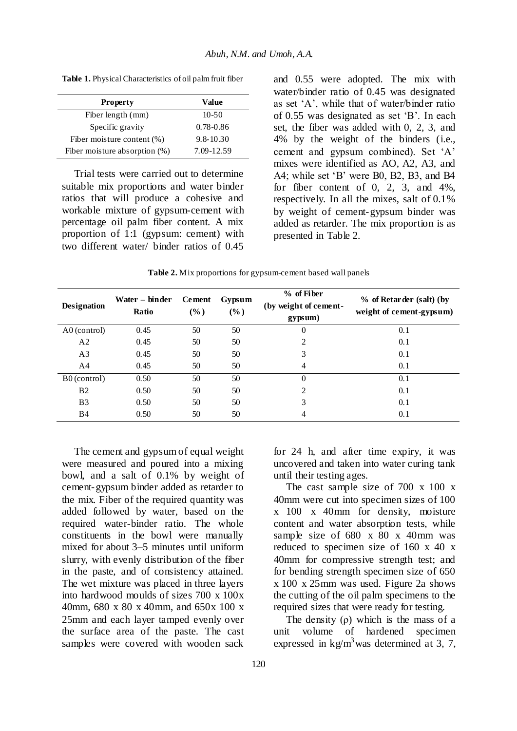**Table 1.** Physical Characteristics of oil palm fruit fiber

| <b>Property</b>               | Value         |
|-------------------------------|---------------|
| Fiber length (mm)             | $10 - 50$     |
| Specific gravity              | $0.78 - 0.86$ |
| Fiber moisture content (%)    | $9.8 - 10.30$ |
| Fiber moisture absorption (%) | 7.09-12.59    |

Trial tests were carried out to determine suitable mix proportions and water binder ratios that will produce a cohesive and workable mixture of gypsum-cement with percentage oil palm fiber content. A mix proportion of 1:1 (gypsum: cement) with two different water/ binder ratios of 0.45

and 0.55 were adopted. The mix with water/binder ratio of 0.45 was designated as set 'A', while that of water/binder ratio of 0.55 was designated as set 'B'. In each set, the fiber was added with 0, 2, 3, and 4% by the weight of the binders (i.e., cement and gypsum combined). Set 'A' mixes were identified as AO, A2, A3, and A4; while set 'B' were B0, B2, B3, and B4 for fiber content of  $0, 2, 3,$  and  $4\%$ . respectively. In all the mixes, salt of 0.1% by weight of cement-gypsum binder was added as retarder. The mix proportion is as presented in Table 2.

**Table 2.** Mix proportions for gypsum-cement based wall panels

| <b>Designation</b> | Water – binder<br>Ratio | <b>Cement</b><br>$(\%)$ | Gypsum<br>$(\%)$ | % of Fiber<br>(by weight of cement-<br>gypsum) | % of Retarder (salt) (by<br>weight of cement-gypsum) |
|--------------------|-------------------------|-------------------------|------------------|------------------------------------------------|------------------------------------------------------|
| A0 (control)       | 0.45                    | 50                      | 50               | $\theta$                                       | 0.1                                                  |
| A2                 | 0.45                    | 50                      | 50               | 2                                              | 0.1                                                  |
| A <sub>3</sub>     | 0.45                    | 50                      | 50               | 3                                              | 0.1                                                  |
| A <sub>4</sub>     | 0.45                    | 50                      | 50               | 4                                              | 0.1                                                  |
| B0 (control)       | 0.50                    | 50                      | 50               | $\Omega$                                       | 0.1                                                  |
| B <sub>2</sub>     | 0.50                    | 50                      | 50               | 2                                              | 0.1                                                  |
| B <sub>3</sub>     | 0.50                    | 50                      | 50               | 3                                              | 0.1                                                  |
| <b>B</b> 4         | 0.50                    | 50                      | 50               | 4                                              | 0.1                                                  |

The cement and gypsum of equal weight were measured and poured into a mixing bowl, and a salt of 0.1% by weight of cement-gypsum binder added as retarder to the mix. Fiber of the required quantity was added followed by water, based on the required water-binder ratio. The whole constituents in the bowl were manually mixed for about 3–5 minutes until uniform slurry, with evenly distribution of the fiber in the paste, and of consistency attained. The wet mixture was placed in three layers into hardwood moulds of sizes 700 x 100x 40mm, 680 x 80 x 40mm, and 650x 100 x 25mm and each layer tamped evenly over the surface area of the paste. The cast samples were covered with wooden sack

for 24 h, and after time expiry, it was uncovered and taken into water curing tank until their testing ages.

The cast sample size of 700 x 100 x 40mm were cut into specimen sizes of 100 x 100 x 40mm for density, moisture content and water absorption tests, while sample size of 680 x 80 x 40mm was reduced to specimen size of 160 x 40 x 40mm for compressive strength test; and for bending strength specimen size of 650 x 100 x 25mm was used. Figure 2a shows the cutting of the oil palm specimens to the required sizes that were ready for testing.

The density  $(\rho)$  which is the mass of a unit volume of hardened specimen expressed in  $kg/m<sup>3</sup>$  was determined at 3, 7,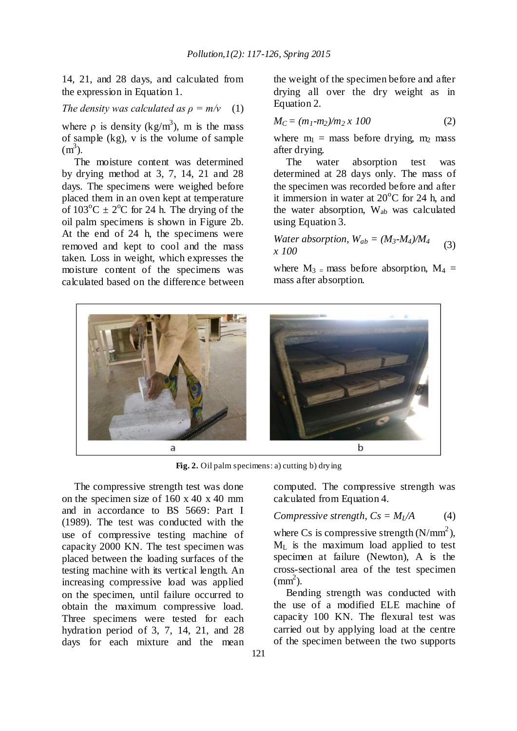14, 21, and 28 days, and calculated from the expression in Equation 1.

### *The density was calculated as*  $\rho = m/v$  (1)

where  $\rho$  is density (kg/m<sup>3</sup>), m is the mass of sample (kg), v is the volume of sample  $(m<sup>3</sup>)$ .

The moisture content was determined by drying method at 3, 7, 14, 21 and 28 days. The specimens were weighed before placed them in an oven kept at temperature of  $103^{\circ}$ C  $\pm$  2<sup>o</sup>C for 24 h. The drying of the oil palm specimens is shown in Figure 2b. At the end of 24 h, the specimens were removed and kept to cool and the mass taken. Loss in weight, which expresses the moisture content of the specimens was calculated based on the difference between the weight of the specimen before and after drying all over the dry weight as in Equation 2.

$$
M_C = (m_1 - m_2) / m_2 \, x \, 100 \tag{2}
$$

where  $m_1$  = mass before drying,  $m_2$  mass after drying.

The water absorption test was determined at 28 days only. The mass of the specimen was recorded before and after it immersion in water at  $20^{\circ}$ C for 24 h, and the water absorption, Wab was calculated using Equation 3.

Water absorption, 
$$
W_{ab} = (M_3 \cdot M_4) / M_4
$$
 (3)  
x 100

where  $M_3$  = mass before absorption,  $M_4$  = mass after absorption.



**Fig. 2.** Oil palm specimens: a) cutting b) drying

The compressive strength test was done on the specimen size of 160 x 40 x 40 mm and in accordance to BS 5669: Part I (1989). The test was conducted with the use of compressive testing machine of capacity 2000 KN. The test specimen was placed between the loading surfaces of the testing machine with its vertical length. An increasing compressive load was applied on the specimen, until failure occurred to obtain the maximum compressive load. Three specimens were tested for each hydration period of 3, 7, 14, 21, and 28 days for each mixture and the mean

computed. The compressive strength was calculated from Equation 4.

# *Compressive strength,*  $Cs = M_L/A$  (4)

where Cs is compressive strength  $(N/mm<sup>2</sup>)$ , M<sup>L</sup> is the maximum load applied to test specimen at failure (Newton), A is the cross-sectional area of the test specimen  $\text{(mm}^2)$ .

Bending strength was conducted with the use of a modified ELE machine of capacity 100 KN. The flexural test was carried out by applying load at the centre of the specimen between the two supports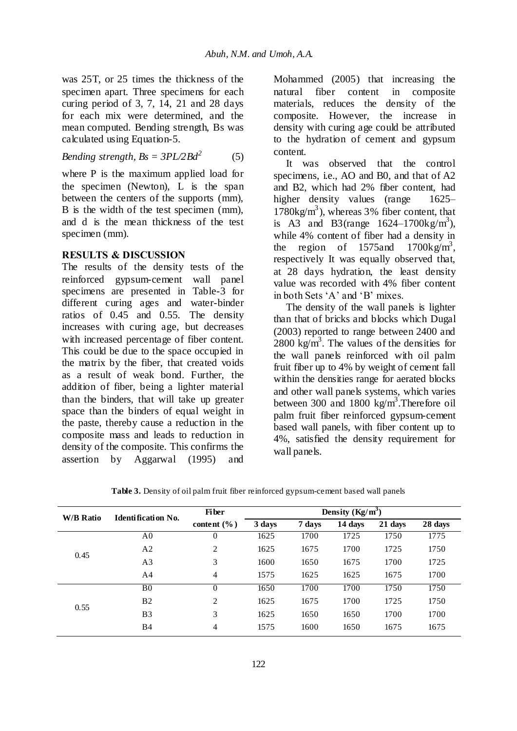was 25T, or 25 times the thickness of the specimen apart. Three specimens for each curing period of 3, 7, 14, 21 and 28 days for each mix were determined, and the mean computed. Bending strength, Bs was calculated using Equation-5.

Bending strength, 
$$
Bs = \frac{3PL}{2Bd^2}
$$
 (5)

where P is the maximum applied load for the specimen (Newton), L is the span between the centers of the supports (mm), B is the width of the test specimen (mm), and d is the mean thickness of the test specimen (mm).

### **RESULTS & DISCUSSION**

The results of the density tests of the reinforced gypsum-cement wall panel specimens are presented in Table-3 for different curing ages and water-binder ratios of 0.45 and 0.55. The density increases with curing age, but decreases with increased percentage of fiber content. This could be due to the space occupied in the matrix by the fiber, that created voids as a result of weak bond. Further, the addition of fiber, being a lighter material than the binders, that will take up greater space than the binders of equal weight in the paste, thereby cause a reduction in the composite mass and leads to reduction in density of the composite. This confirms the assertion by Aggarwal (1995) and

Mohammed (2005) that increasing the natural fiber content in composite materials, reduces the density of the composite. However, the increase in density with curing age could be attributed to the hydration of cement and gypsum content.

It was observed that the control specimens, i.e., AO and B0, and that of A2 and B2, which had 2% fiber content, had higher density values (range 1625–  $1780\text{kg/m}^3$ ), whereas 3% fiber content, that is A3 and B3(range  $1624 - 1700 \text{kg/m}^3$ ), while 4% content of fiber had a density in the region of 1575 and 1700 kg/m<sup>3</sup>, respectively It was equally observed that, at 28 days hydration, the least density value was recorded with 4% fiber content in both Sets 'A' and 'B' mixes.

The density of the wall panels is lighter than that of bricks and blocks which Dugal (2003) reported to range between 2400 and  $2800 \text{ kg/m}^3$ . The values of the densities for the wall panels reinforced with oil palm fruit fiber up to 4% by weight of cement fall within the densities range for aerated blocks and other wall panels systems, which varies between 300 and 1800 kg/m<sup>3</sup>. Therefore oil palm fruit fiber reinforced gypsum-cement based wall panels, with fiber content up to 4%, satisfied the density requirement for wall panels.

| <b>W/B Ratio</b> | Identification No. | <b>Fiber</b>    |        |        |         |         |         |
|------------------|--------------------|-----------------|--------|--------|---------|---------|---------|
|                  |                    | content $(\% )$ | 3 days | 7 days | 14 days | 21 days | 28 days |
| 0.45<br>0.55     | A0                 | 0               | 1625   | 1700   | 1725    | 1750    | 1775    |
|                  | A <sub>2</sub>     | 2               | 1625   | 1675   | 1700    | 1725    | 1750    |
|                  | A <sub>3</sub>     | 3               | 1600   | 1650   | 1675    | 1700    | 1725    |
|                  | A <sub>4</sub>     | 4               | 1575   | 1625   | 1625    | 1675    | 1700    |
|                  | B <sub>0</sub>     | $\overline{0}$  | 1650   | 1700   | 1700    | 1750    | 1750    |
|                  | B <sub>2</sub>     | 2               | 1625   | 1675   | 1700    | 1725    | 1750    |
|                  | B <sub>3</sub>     | 3               | 1625   | 1650   | 1650    | 1700    | 1700    |
|                  | <b>B4</b>          | $\overline{4}$  | 1575   | 1600   | 1650    | 1675    | 1675    |

**Table 3.** Density of oil palm fruit fiber reinforced gypsum-cement based wall panels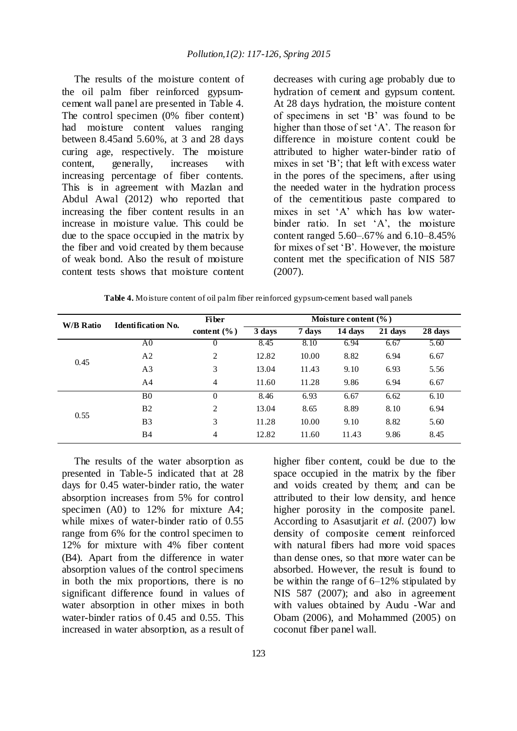The results of the moisture content of the oil palm fiber reinforced gypsumcement wall panel are presented in Table 4. The control specimen (0% fiber content) had moisture content values ranging between 8.45and 5.60%, at 3 and 28 days curing age, respectively. The moisture content, generally, increases with increasing percentage of fiber contents. This is in agreement with Mazlan and Abdul Awal (2012) who reported that increasing the fiber content results in an increase in moisture value. This could be due to the space occupied in the matrix by the fiber and void created by them because of weak bond. Also the result of moisture content tests shows that moisture content

decreases with curing age probably due to hydration of cement and gypsum content. At 28 days hydration, the moisture content of specimens in set 'B' was found to be higher than those of set 'A'. The reason for difference in moisture content could be attributed to higher water-binder ratio of mixes in set 'B'; that left with excess water in the pores of the specimens, after using the needed water in the hydration process of the cementitious paste compared to mixes in set 'A' which has low waterbinder ratio. In set 'A', the moisture content ranged 5.60–.67% and 6.10–8.45% for mixes of set 'B'. However, the moisture content met the specification of NIS 587 (2007).

**Table 4.** Moisture content of oil palm fiber reinforced gypsum-cement based wall panels

| <b>W/B Ratio</b> | <b>Identification No.</b> | Moisture content $(\% )$<br><b>Fiber</b> |        |        |         |         |         |
|------------------|---------------------------|------------------------------------------|--------|--------|---------|---------|---------|
|                  |                           | content $(\% )$                          | 3 days | 7 days | 14 days | 21 days | 28 days |
|                  | A <sub>0</sub>            | O                                        | 8.45   | 8.10   | 6.94    | 6.67    | 5.60    |
|                  | A <sub>2</sub>            | $\overline{2}$                           | 12.82  | 10.00  | 8.82    | 6.94    | 6.67    |
| 0.45             | A <sub>3</sub>            | 3                                        | 13.04  | 11.43  | 9.10    | 6.93    | 5.56    |
|                  | A <sub>4</sub>            | 4                                        | 11.60  | 11.28  | 9.86    | 6.94    | 6.67    |
|                  | B <sub>0</sub>            | $\theta$                                 | 8.46   | 6.93   | 6.67    | 6.62    | 6.10    |
| 0.55             | B <sub>2</sub>            | 2                                        | 13.04  | 8.65   | 8.89    | 8.10    | 6.94    |
|                  | B <sub>3</sub>            | 3                                        | 11.28  | 10.00  | 9.10    | 8.82    | 5.60    |
|                  | <b>B4</b>                 | 4                                        | 12.82  | 11.60  | 11.43   | 9.86    | 8.45    |

The results of the water absorption as presented in Table-5 indicated that at 28 days for 0.45 water-binder ratio, the water absorption increases from 5% for control specimen (A0) to 12% for mixture A4; while mixes of water-binder ratio of 0.55 range from 6% for the control specimen to 12% for mixture with 4% fiber content (B4). Apart from the difference in water absorption values of the control specimens in both the mix proportions, there is no significant difference found in values of water absorption in other mixes in both water-binder ratios of 0.45 and 0.55. This increased in water absorption, as a result of

higher fiber content, could be due to the space occupied in the matrix by the fiber and voids created by them; and can be attributed to their low density, and hence higher porosity in the composite panel. According to Asasutjarit *et al*. (2007) low density of composite cement reinforced with natural fibers had more void spaces than dense ones, so that more water can be absorbed. However, the result is found to be within the range of 6–12% stipulated by NIS 587 (2007); and also in agreement with values obtained by Audu -War and Obam (2006), and Mohammed (2005) on coconut fiber panel wall.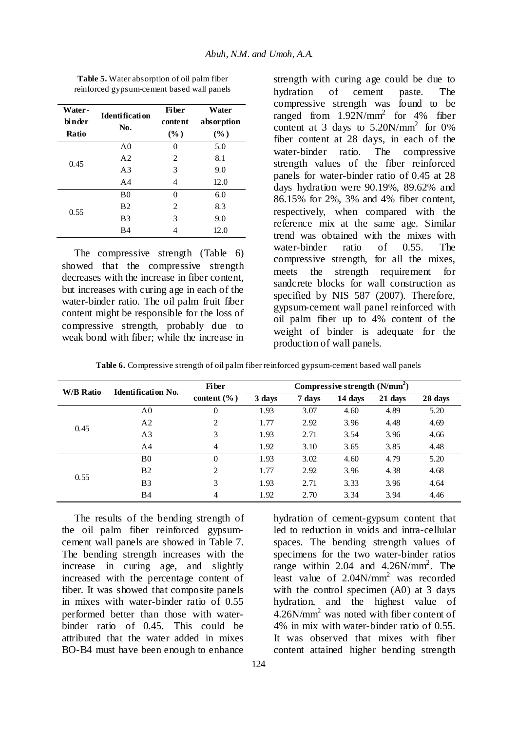| Water-<br>bi n der<br>Ratio | Identi ficati on<br>No. | <b>Fi</b> ber<br>content<br>$(\%)$ | Water<br>absorption<br>$(\%)$ |
|-----------------------------|-------------------------|------------------------------------|-------------------------------|
|                             | A <sub>0</sub>          | 0                                  | 5.0                           |
| 0.45                        | A <sub>2</sub>          | 2                                  | 8.1                           |
|                             | A <sub>3</sub>          | 3                                  | 9.0                           |
|                             | A <sub>4</sub>          | 4                                  | 12.0                          |
|                             | B <sub>0</sub>          | 0                                  | 6.0                           |
| 0.55                        | B <sub>2</sub>          | 2                                  | 8.3                           |
|                             | B <sub>3</sub>          | 3                                  | 9.0                           |
|                             | B4                      | 4                                  | 12.0                          |

**Table 5.** Water absorption of oil palm fiber reinforced gypsum-cement based wall panels

The compressive strength (Table 6) showed that the compressive strength decreases with the increase in fiber content, but increases with curing age in each of the water-binder ratio. The oil palm fruit fiber content might be responsible for the loss of compressive strength, probably due to weak bond with fiber; while the increase in

strength with curing age could be due to hydration of cement paste. The compressive strength was found to be ranged from  $1.92N/mm^2$  for 4% fiber content at 3 days to  $5.20N/mm^2$  for 0% fiber content at 28 days, in each of the water-binder ratio. The compressive strength values of the fiber reinforced panels for water-binder ratio of 0.45 at 28 days hydration were 90.19%, 89.62% and 86.15% for 2%, 3% and 4% fiber content, respectively, when compared with the reference mix at the same age. Similar trend was obtained with the mixes with water-binder ratio of 0.55. The compressive strength, for all the mixes, meets the strength requirement for sandcrete blocks for wall construction as specified by NIS 587 (2007). Therefore, gypsum-cement wall panel reinforced with oil palm fiber up to 4% content of the weight of binder is adequate for the production of wall panels.

**Table 6.** Compressive strength of oil palm fiber reinforced gypsum-cement based wall panels

| W/B Ratio | Identification No. | <b>Fiber</b>    | Compressive strength $(N/mm2)$ |        |         |         |         |
|-----------|--------------------|-----------------|--------------------------------|--------|---------|---------|---------|
|           |                    | content $(\% )$ | 3 days                         | 7 days | 14 days | 21 days | 28 days |
|           | A <sub>0</sub>     | 0               | 1.93                           | 3.07   | 4.60    | 4.89    | 5.20    |
| 0.45      | A <sub>2</sub>     | 2               | 1.77                           | 2.92   | 3.96    | 4.48    | 4.69    |
|           | A <sub>3</sub>     | 3               | 1.93                           | 2.71   | 3.54    | 3.96    | 4.66    |
|           | A4                 | 4               | 1.92                           | 3.10   | 3.65    | 3.85    | 4.48    |
|           | B <sub>0</sub>     | $\Omega$        | 1.93                           | 3.02   | 4.60    | 4.79    | 5.20    |
|           | B <sub>2</sub>     | 2               | 1.77                           | 2.92   | 3.96    | 4.38    | 4.68    |
| 0.55      | B <sub>3</sub>     | 3               | 1.93                           | 2.71   | 3.33    | 3.96    | 4.64    |
|           | <b>B4</b>          | 4               | 1.92                           | 2.70   | 3.34    | 3.94    | 4.46    |

The results of the bending strength of the oil palm fiber reinforced gypsumcement wall panels are showed in Table 7. The bending strength increases with the increase in curing age, and slightly increased with the percentage content of fiber. It was showed that composite panels in mixes with water-binder ratio of 0.55 performed better than those with waterbinder ratio of 0.45. This could be attributed that the water added in mixes BO-B4 must have been enough to enhance

hydration of cement-gypsum content that led to reduction in voids and intra-cellular spaces. The bending strength values of specimens for the two water-binder ratios range within  $2.04$  and  $4.26$ N/mm<sup>2</sup>. The least value of 2.04N/mm<sup>2</sup> was recorded with the control specimen (A0) at 3 days hydration, and the highest value of 4.26N/mm<sup>2</sup> was noted with fiber content of 4% in mix with water-binder ratio of 0.55. It was observed that mixes with fiber content attained higher bending strength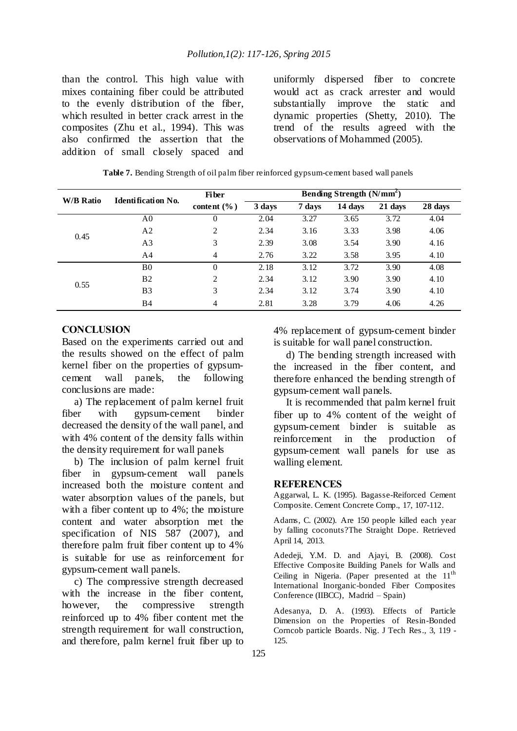than the control. This high value with mixes containing fiber could be attributed to the evenly distribution of the fiber, which resulted in better crack arrest in the composites (Zhu et al., 1994). This was also confirmed the assertion that the addition of small closely spaced and

uniformly dispersed fiber to concrete would act as crack arrester and would substantially improve the static and dynamic properties (Shetty, 2010). The trend of the results agreed with the observations of Mohammed (2005).

| <b>W/B Ratio</b> | <b>Identification No.</b> | <b>Fiber</b>    | Bending Strength (N/mm <sup>2</sup> ) |        |         |         |         |
|------------------|---------------------------|-----------------|---------------------------------------|--------|---------|---------|---------|
|                  |                           | content $(\% )$ | 3 days                                | 7 days | 14 days | 21 days | 28 days |
|                  | A0                        | 0               | 2.04                                  | 3.27   | 3.65    | 3.72    | 4.04    |
| 0.45             | A <sub>2</sub>            | 2               | 2.34                                  | 3.16   | 3.33    | 3.98    | 4.06    |
|                  | A <sub>3</sub>            | 3               | 2.39                                  | 3.08   | 3.54    | 3.90    | 4.16    |
|                  | A4                        | 4               | 2.76                                  | 3.22   | 3.58    | 3.95    | 4.10    |
|                  | B <sub>0</sub>            | $\theta$        | 2.18                                  | 3.12   | 3.72    | 3.90    | 4.08    |
| 0.55             | B <sub>2</sub>            | 2               | 2.34                                  | 3.12   | 3.90    | 3.90    | 4.10    |
|                  | B <sub>3</sub>            | 3               | 2.34                                  | 3.12   | 3.74    | 3.90    | 4.10    |
|                  | <b>B</b> 4                | 4               | 2.81                                  | 3.28   | 3.79    | 4.06    | 4.26    |

#### **CONCLUSION**

Based on the experiments carried out and the results showed on the effect of palm kernel fiber on the properties of gypsumcement wall panels, the following conclusions are made:

a) The replacement of palm kernel fruit fiber with gypsum-cement binder decreased the density of the wall panel, and with 4% content of the density falls within the density requirement for wall panels

b) The inclusion of palm kernel fruit fiber in gypsum-cement wall panels increased both the moisture content and water absorption values of the panels, but with a fiber content up to 4%; the moisture content and water absorption met the specification of NIS 587 (2007), and therefore palm fruit fiber content up to 4% is suitable for use as reinforcement for gypsum-cement wall panels.

c) The compressive strength decreased with the increase in the fiber content, however, the compressive strength reinforced up to 4% fiber content met the strength requirement for wall construction, and therefore, palm kernel fruit fiber up to 4% replacement of gypsum-cement binder is suitable for wall panel construction.

d) The bending strength increased with the increased in the fiber content, and therefore enhanced the bending strength of gypsum-cement wall panels.

It is recommended that palm kernel fruit fiber up to 4% content of the weight of gypsum-cement binder is suitable as reinforcement in the production of gypsum-cement wall panels for use as walling element.

#### **REFERENCES**

Aggarwal, L. K. (1995). Bagasse-Reiforced Cement Composite. Cement Concrete Comp., 17, 107-112.

Adams, C. (2002). Are 150 people killed each year by falling coconuts?The Straight Dope. Retrieved April 14, 2013.

Adedeji, Y.M. D. and Ajayi, B. (2008). Cost Effective Composite Building Panels for Walls and Ceiling in Nigeria. (Paper presented at the  $11<sup>th</sup>$ International Inorganic-bonded Fiber Composites Conference (IIBCC), Madrid – Spain)

Adesanya, D. A. (1993). Effects of Particle Dimension on the Properties of Resin-Bonded Corncob particle Boards. Nig. J Tech Res*.,* 3, 119 - 125.